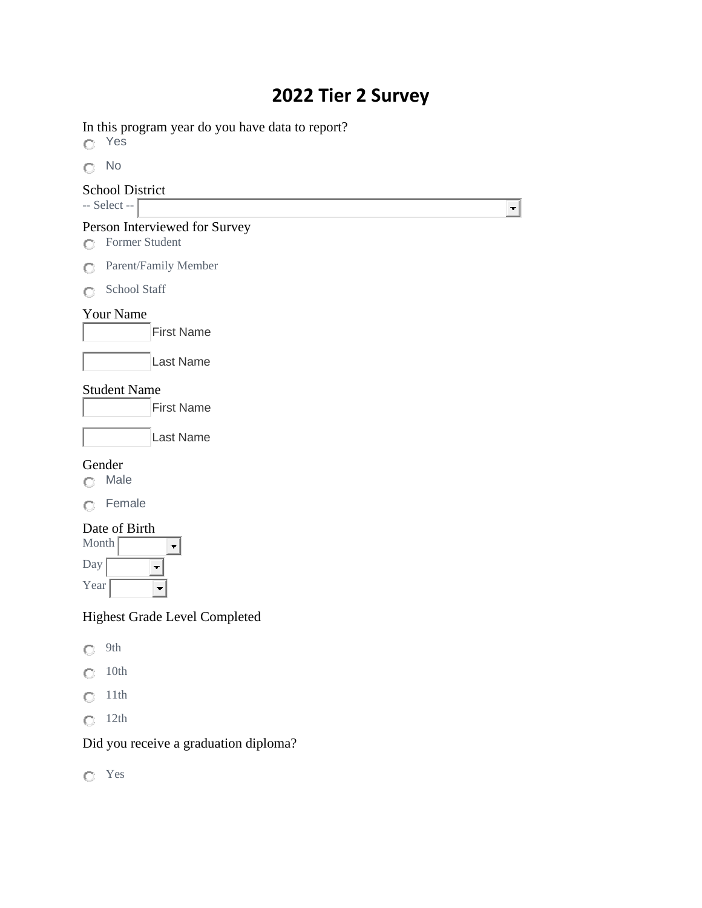# **2022 Tier 2 Survey**

 $\overline{\phantom{a}}$ 

In this program year do you have data to report?

Yes

No

#### School District  $-$  Select  $\Gamma$

| Person Interviewed for Survey |  |
|-------------------------------|--|
| <b>C</b> Former Student       |  |
|                               |  |

Parent/Family Member

C School Staff

### Your Name



### Student Name

First Name

| lLast Name |  |
|------------|--|
|            |  |

## Gender

Male

| ∙emale |
|--------|
|--------|

# Date of Birth

| Month |  |
|-------|--|
| Day   |  |
| Year  |  |

# Highest Grade Level Completed

| ۹ |
|---|
|---|

- $\bigcirc$  10th
- $Q$  11th
- $\bigcirc$  12th

# Did you receive a graduation diploma?

Yes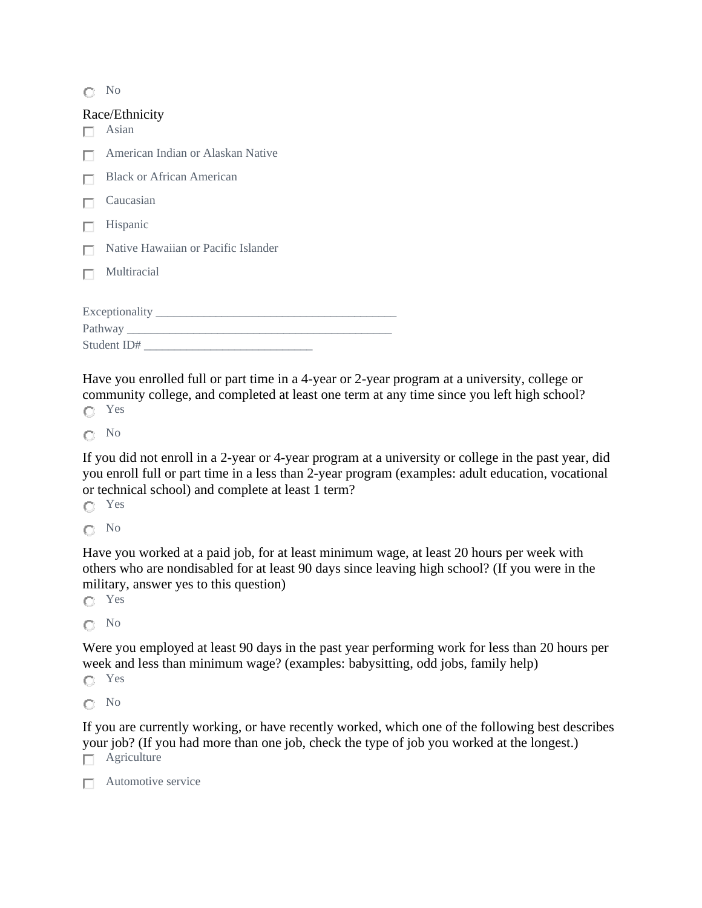No

# Race/Ethnicity

| Kace/Lumich<br>Asian                |  |  |
|-------------------------------------|--|--|
| American Indian or Alaskan Native   |  |  |
| <b>Black or African American</b>    |  |  |
| Caucasian                           |  |  |
| Hispanic                            |  |  |
| Native Hawaiian or Pacific Islander |  |  |
| Multiracial                         |  |  |
|                                     |  |  |
| Exceptionality                      |  |  |
|                                     |  |  |
| Student ID#                         |  |  |

Have you enrolled full or part time in a 4-year or 2-year program at a university, college or community college, and completed at least one term at any time since you left high school? Yes

No

If you did not enroll in a 2-year or 4-year program at a university or college in the past year, did you enroll full or part time in a less than 2-year program (examples: adult education, vocational or technical school) and complete at least 1 term?

Yes

No

Have you worked at a paid job, for at least minimum wage, at least 20 hours per week with others who are nondisabled for at least 90 days since leaving high school? (If you were in the military, answer yes to this question)

Yes

 $\bigcap$  No

Were you employed at least 90 days in the past year performing work for less than 20 hours per week and less than minimum wage? (examples: babysitting, odd jobs, family help)

Yes

No

If you are currently working, or have recently worked, which one of the following best describes your job? (If you had more than one job, check the type of job you worked at the longest.)

 $\Box$  Agriculture

 $\Box$  Automotive service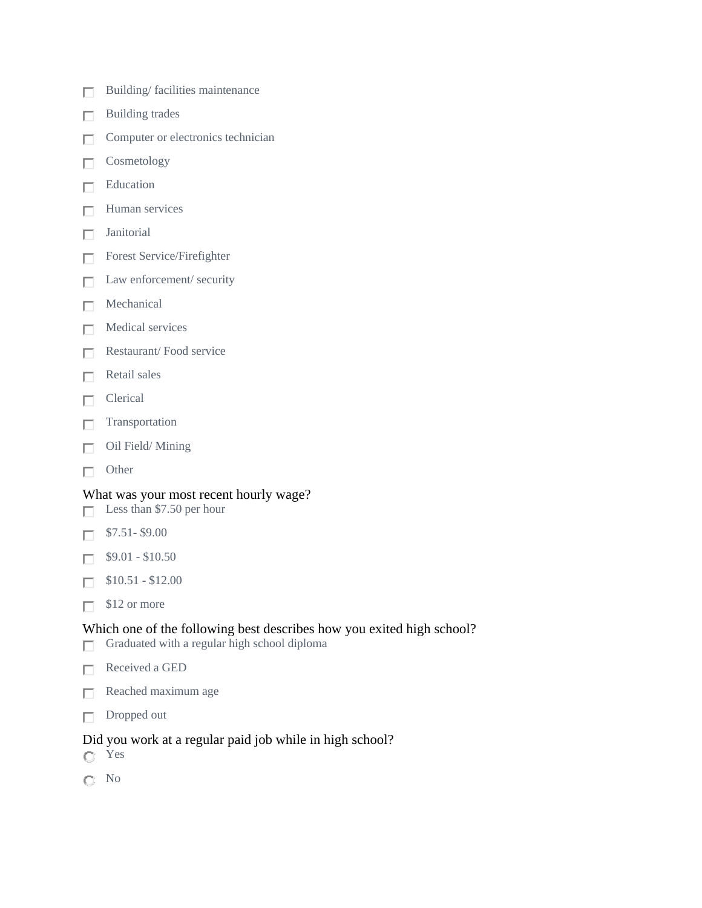- Building/ facilities maintenance П
- Building trades п
- Computer or electronics technician П
- Cosmetology п
- Education П
- Human services П
- Janitorial П
- Forest Service/Firefighter П
- Law enforcement/ security п
- Mechanical П.
- Medical services П
- Restaurant/ Food service П
- Retail sales П
- Clerical п
- Transportation П
- Oil Field/ Mining П
- Other П

#### What was your most recent hourly wage?

- Less than \$7.50 per hour П
- \$7.51- \$9.00 П
- \$9.01 \$10.50 п
- \$10.51 \$12.00 П
- $\Box$  \$12 or more

#### Which one of the following best describes how you exited high school?

- Graduated with a regular high school diploma П
- Received a GED П
- Reached maximum age П
- Dropped out П.

#### Did you work at a regular paid job while in high school?

- Yes
- No